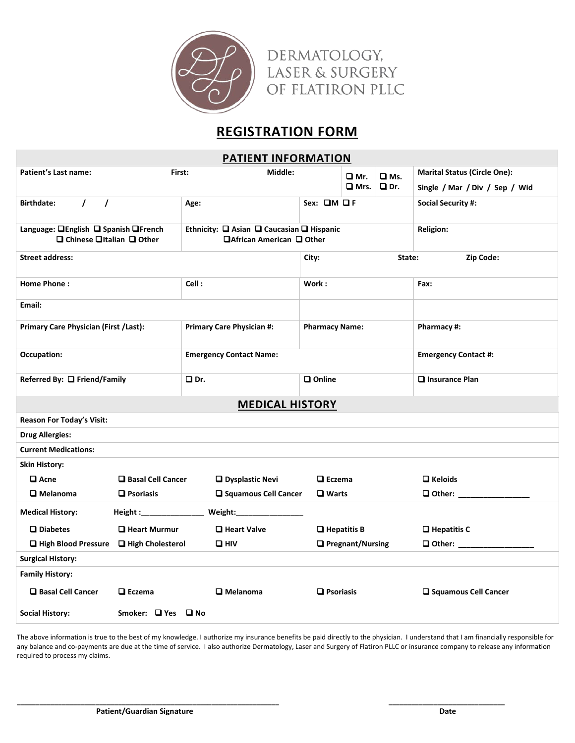

## **REGISTRATION FORM**

| <b>PATIENT INFORMATION</b>                                                                |                          |                                                                         |                              |                    |               |                                     |  |
|-------------------------------------------------------------------------------------------|--------------------------|-------------------------------------------------------------------------|------------------------------|--------------------|---------------|-------------------------------------|--|
| Patient's Last name:<br>First:                                                            |                          | Middle:                                                                 | ❑ Mr.                        |                    | $\square$ Ms. | <b>Marital Status (Circle One):</b> |  |
|                                                                                           |                          |                                                                         |                              | $\square$ Mrs.     | $\Box$ Dr.    | Single / Mar / Div / Sep / Wid      |  |
| $\prime$<br><b>Birthdate:</b><br>$\prime$                                                 |                          | Age:                                                                    | Sex: OM OF                   |                    |               | <b>Social Security #:</b>           |  |
| Language: <b>QEnglish Q Spanish QFrench</b><br>$\Box$ Chinese $\Box$ Italian $\Box$ Other |                          | Ethnicity: □ Asian □ Caucasian □ Hispanic<br>□ African American □ Other |                              |                    |               | <b>Religion:</b>                    |  |
| <b>Street Address:</b>                                                                    |                          |                                                                         | Zip Code:<br>State:<br>City: |                    |               |                                     |  |
| Home Phone:                                                                               |                          | Cell:                                                                   | Work:                        |                    |               | Fax:                                |  |
| Email:                                                                                    |                          |                                                                         |                              |                    |               |                                     |  |
| Primary Care Physician (First /Last):                                                     |                          | <b>Primary Care Physician #:</b>                                        | <b>Pharmacy Name:</b>        |                    |               | Pharmacy #:                         |  |
| Occupation:                                                                               |                          | <b>Emergency Contact Name:</b>                                          |                              |                    |               | <b>Emergency Contact #:</b>         |  |
| Referred By: □ Friend/Family                                                              |                          | Q Dr.                                                                   | $\square$ Online             |                    |               | $\Box$ Insurance Plan               |  |
| <b>MEDICAL HISTORY</b>                                                                    |                          |                                                                         |                              |                    |               |                                     |  |
| <b>Reason For Today's Visit:</b>                                                          |                          |                                                                         |                              |                    |               |                                     |  |
| <b>Drug Allergies:</b>                                                                    |                          |                                                                         |                              |                    |               |                                     |  |
| <b>Current Medications:</b>                                                               |                          |                                                                         |                              |                    |               |                                     |  |
| <b>Skin History:</b>                                                                      |                          |                                                                         |                              |                    |               |                                     |  |
| $\square$ Acne<br>□ Basal Cell Cancer                                                     |                          | <b>Q</b> Dysplastic Nevi                                                |                              | $\Box$ Eczema      |               | $\Box$ Keloids                      |  |
| $\square$ Melanoma                                                                        | $\Box$ Psoriasis         | □ Squamous Cell Cancer                                                  | $\Box$ Warts                 |                    |               | <b>Q</b> Other: ________            |  |
| <b>Medical History:</b>                                                                   | Height :________________ | Weight:_______________                                                  |                              |                    |               |                                     |  |
| $\square$ Diabetes<br>□ Heart Murmur                                                      |                          | Heart Valve                                                             |                              | $\Box$ Hepatitis B |               | $\Box$ Hepatitis C                  |  |
| $\Box$ High Blood Pressure                                                                | High Cholesterol         | $\square$ HIV                                                           |                              | □ Pregnant/Nursing |               | □ Other: ________________           |  |
| <b>Surgical History:</b>                                                                  |                          |                                                                         |                              |                    |               |                                     |  |
| <b>Family History:</b>                                                                    |                          |                                                                         |                              |                    |               |                                     |  |
| □ Basal Cell Cancer                                                                       | $\square$ Eczema         | $\square$ Melanoma                                                      | $\Box$ Psoriasis             |                    |               | □ Squamous Cell Cancer              |  |
| <b>Social History:</b>                                                                    | Smoker: U Yes U No       |                                                                         |                              |                    |               |                                     |  |

The above information is true to the best of my knowledge. I authorize my insurance benefits be paid directly to the physician. I understand that I am financially responsible for any balance and co-payments are due at the time of service. I also authorize Dermatology, Laser and Surgery of Carnegie Hill PLLC or insurance company to release any information required to process my claims.

**\_\_\_\_\_\_\_\_\_\_\_\_\_\_\_\_\_\_\_\_\_\_\_\_\_\_\_\_\_\_\_\_\_\_\_\_\_\_\_\_\_\_\_\_\_\_\_\_\_\_\_\_\_\_\_\_\_\_\_\_\_\_\_\_\_\_\_\_\_\_ \_\_\_\_\_\_\_\_\_\_\_\_\_\_\_\_\_\_\_\_\_\_\_\_\_\_\_\_\_\_\_**